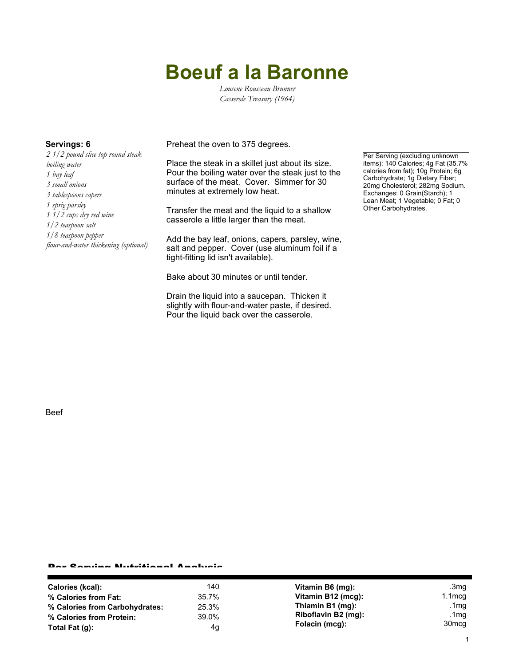# **Boeuf a la Baronne**

*Lousene Rousseau Brunner Casserole Treasury (1964)*

*2 1/2 pound slice top round steak boiling water 1 bay leaf 3 small onions 3 tablespoons capers 1 sprig parsley 1 1/2 cups dry red wine 1/2 teaspoon salt 1/8 teaspoon pepper flour-and-water thickening (optional)*

**Servings: 6** Preheat the oven to 375 degrees.

Place the steak in a skillet just about its size. Pour the boiling water over the steak just to the surface of the meat. Cover. Simmer for 30 minutes at extremely low heat.

Transfer the meat and the liquid to a shallow casserole a little larger than the meat.

Add the bay leaf, onions, capers, parsley, wine, salt and pepper. Cover (use aluminum foil if a tight-fitting lid isn't available).

Bake about 30 minutes or until tender.

Drain the liquid into a saucepan. Thicken it slightly with flour-and-water paste, if desired. Pour the liquid back over the casserole.

Per Serving (excluding unknown items): 140 Calories; 4g Fat (35.7% calories from fat); 10g Protein; 6g Carbohydrate; 1g Dietary Fiber; 20mg Cholesterol; 282mg Sodium. Exchanges: 0 Grain(Starch); 1 Lean Meat; 1 Vegetable; 0 Fat; 0 Other Carbohydrates.

Beef

### Per Serving Nutritional Analysis

| Calories (kcal):               | 140   | Vitamin B6 (mg):    | .3mg              |
|--------------------------------|-------|---------------------|-------------------|
| % Calories from Fat:           | 35.7% | Vitamin B12 (mcg):  | $1.1 \text{mca}$  |
| % Calories from Carbohydrates: | 25.3% | Thiamin B1 (mg):    | .1mg              |
| % Calories from Protein:       | 39.0% | Riboflavin B2 (mg): | .1 $mg$           |
| Total Fat $(q)$ :              | 4g    | Folacin (mcg):      | 30 <sub>mcg</sub> |